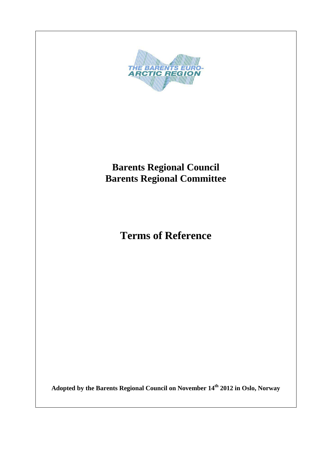

**Adopted by the Barents Regional Council on November 14th 2012 in Oslo, Norway**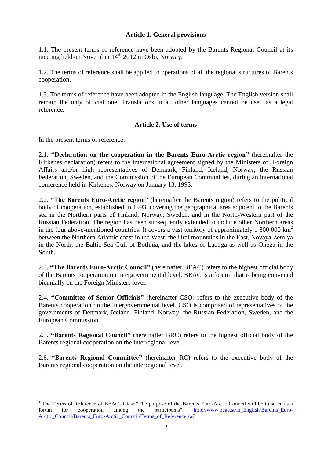# **Article 1. General provisions**

1.1. The present terms of reference have been adopted by the Barents Regional Council at its meeting held on November 14<sup>th</sup> 2012 in Oslo, Norway.

1.2. The terms of reference shall be applied to operations of all the regional structures of Barents cooperation.

1.3. The terms of reference have been adopted in the English language. The English version shall remain the only official one. Translations in all other languages cannot be used as a legal reference.

# **Article 2. Use of terms**

In the present terms of reference:

 $\overline{a}$ 

2.1. **"Declaration on the cooperation in the Barents Euro-Arctic region"** (hereinafter the Kirkenes declaration) refers to the international agreement signed by the Ministers of Foreign Affairs and/or high representatives of Denmark, Finland, Iceland, Norway, the Russian Federation, Sweden, and the Commission of the European Communities, during an international conference held in Kirkenes, Norway on January 13, 1993.

2.2. **"The Barents Euro-Arctic region"** (hereinafter the Barents region) refers to the political body of cooperation, established in 1993, covering the geographical area adjacent to the Barents sea in the Northern parts of Finland, Norway, Sweden, and in the North-Western part of the Russian Federation. The region has been subsequently extended to include other Northern areas in the four above-mentioned countries. It covers a vast territory of approximately 1 800 000  $\text{km}^2$ between the Northern Atlantic coast in the West, the Ural mountains in the East, Novaya Zemlya in the North, the Baltic Sea Gulf of Bothnia, and the lakes of Ladoga as well as Onega in the South.

2.3. **"The Barents Euro-Arctic Council"** (hereinafter BEAC) refers to the highest official body of the Barents cooperation on intergovernmental level. BEAC is a forum<sup>1</sup> that is being convened biennially on the Foreign Ministers level.

2.4. **"Committee of Senior Officials"** (hereinafter CSO) refers to the executive body of the Barents cooperation on the intergovernmental level. CSO is comprised of representatives of the governments of Denmark, Iceland, Finland, Norway, the Russian Federation, Sweden, and the European Commission.

2.5. **"Barents Regional Council"** (hereinafter BRC) refers to the highest official body of the Barents regional cooperation on the interregional level.

2.6. **"Barents Regional Committee"** (hereinafter RC) refers to the executive body of the Barents regional cooperation on the interregional level.

<sup>&</sup>lt;sup>1</sup> The Terms of Reference of BEAC states: "The purpose of the Barents Euro-Arctic Council will be to serve as a forum for cooperation among the participants". [http://www.beac.st/in\\_English/Barents\\_Euro-](http://www.beac.st/in_English/Barents_Euro-Arctic_Council/Barents_Euro-Arctic_Council/Terms_of_Reference.iw3)[Arctic\\_Council/Barents\\_Euro-Arctic\\_Council/Terms\\_of\\_Reference.iw3](http://www.beac.st/in_English/Barents_Euro-Arctic_Council/Barents_Euro-Arctic_Council/Terms_of_Reference.iw3)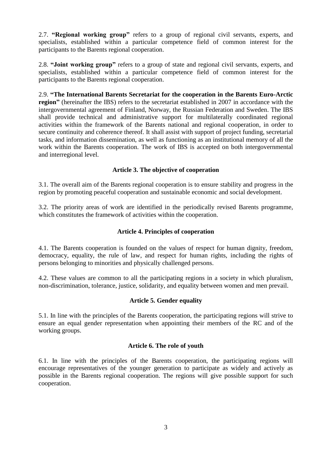2.7. **"Regional working group"** refers to a group of regional civil servants, experts, and specialists, established within a particular competence field of common interest for the participants to the Barents regional cooperation.

2.8. **"Joint working group"** refers to a group of state and regional civil servants, experts, and specialists, established within a particular competence field of common interest for the participants to the Barents regional cooperation.

2.9. **"The International Barents Secretariat for the cooperation in the Barents Euro-Arctic region"** (hereinafter the IBS) refers to the secretariat established in 2007 in accordance with the intergovernmental agreement of Finland, Norway, the Russian Federation and Sweden. The IBS shall provide technical and administrative support for multilaterally coordinated regional activities within the framework of the Barents national and regional cooperation, in order to secure continuity and coherence thereof. It shall assist with support of project funding, secretarial tasks, and information dissemination, as well as functioning as an institutional memory of all the work within the Barents cooperation. The work of IBS is accepted on both intergovernmental and interregional level.

# **Article 3. The objective of cooperation**

3.1. The overall aim of the Barents regional cooperation is to ensure stability and progress in the region by promoting peaceful cooperation and sustainable economic and social development.

3.2. The priority areas of work are identified in the periodically revised Barents programme, which constitutes the framework of activities within the cooperation.

# **Article 4. Principles of cooperation**

4.1. The Barents cooperation is founded on the values of respect for human dignity, freedom, democracy, equality, the rule of law, and respect for human rights, including the rights of persons belonging to minorities and physically challenged persons.

4.2. These values are common to all the participating regions in a society in which pluralism, non-discrimination, tolerance, justice, solidarity, and equality between women and men prevail.

# **Article 5. Gender equality**

5.1. In line with the principles of the Barents cooperation, the participating regions will strive to ensure an equal gender representation when appointing their members of the RC and of the working groups.

## **Article 6. The role of youth**

6.1. In line with the principles of the Barents cooperation, the participating regions will encourage representatives of the younger generation to participate as widely and actively as possible in the Barents regional cooperation. The regions will give possible support for such cooperation.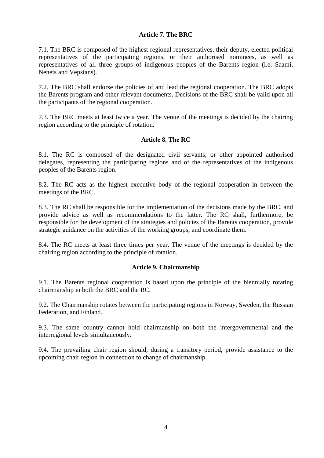# **Article 7. The BRC**

7.1. The BRC is composed of the highest regional representatives, their deputy, elected political representatives of the participating regions, or their authorised nominees, as well as representatives of all three groups of indigenous peoples of the Barents region (i.e. Saami, Nenets and Vepsians).

7.2. The BRC shall endorse the policies of and lead the regional cooperation. The BRC adopts the Barents program and other relevant documents. Decisions of the BRC shall be valid upon all the participants of the regional cooperation.

7.3. The BRC meets at least twice a year. The venue of the meetings is decided by the chairing region according to the principle of rotation.

# **Article 8. The RC**

8.1. The RC is composed of the designated civil servants, or other appointed authorised delegates, representing the participating regions and of the representatives of the indigenous peoples of the Barents region.

8.2. The RC acts as the highest executive body of the regional cooperation in between the meetings of the BRC.

8.3. The RC shall be responsible for the implementation of the decisions made by the BRC, and provide advice as well as recommendations to the latter. The RC shall, furthermore, be responsible for the development of the strategies and policies of the Barents cooperation, provide strategic guidance on the activities of the working groups, and coordinate them.

8.4. The RC meets at least three times per year. The venue of the meetings is decided by the chairing region according to the principle of rotation.

## **Article 9. Chairmanship**

9.1. The Barents regional cooperation is based upon the principle of the biennially rotating chairmanship in both the BRC and the RC.

9.2. The Chairmanship rotates between the participating regions in Norway, Sweden, the Russian Federation, and Finland.

9.3. The same country cannot hold chairmanship on both the intergovernmental and the interregional levels simultaneously.

9.4. The prevailing chair region should, during a transitory period, provide assistance to the upcoming chair region in connection to change of chairmanship.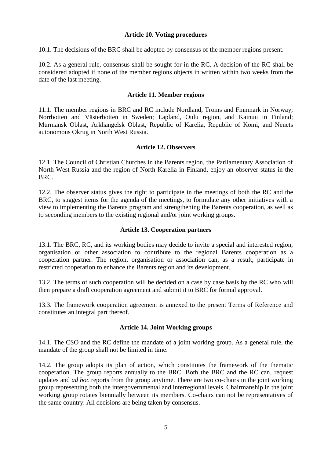# **Article 10. Voting procedures**

10.1. The decisions of the BRC shall be adopted by consensus of the member regions present.

10.2. As a general rule, consensus shall be sought for in the RC. A decision of the RC shall be considered adopted if none of the member regions objects in written within two weeks from the date of the last meeting.

# **Article 11. Member regions**

11.1. The member regions in BRC and RC include Nordland, Troms and Finnmark in Norway; Norrbotten and Västerbotten in Sweden; Lapland, Oulu region, and Kainuu in Finland; Murmansk Oblast, Arkhangelsk Oblast, Republic of Karelia, Republic of Komi, and Nenets autonomous Okrug in North West Russia.

## **Article 12. Observers**

12.1. The Council of Christian Churches in the Barents region, the Parliamentary Association of North West Russia and the region of North Karelia in Finland, enjoy an observer status in the BRC.

12.2. The observer status gives the right to participate in the meetings of both the RC and the BRC, to suggest items for the agenda of the meetings, to formulate any other initiatives with a view to implementing the Barents program and strengthening the Barents cooperation, as well as to seconding members to the existing regional and/or joint working groups.

## **Article 13. Cooperation partners**

13.1. The BRC, RC, and its working bodies may decide to invite a special and interested region, organisation or other association to contribute to the regional Barents cooperation as a cooperation partner. The region, organisation or association can, as a result, participate in restricted cooperation to enhance the Barents region and its development.

13.2. The terms of such cooperation will be decided on a case by case basis by the RC who will then prepare a draft cooperation agreement and submit it to BRC for formal approval.

13.3. The framework cooperation agreement is annexed to the present Terms of Reference and constitutes an integral part thereof.

# **Article 14. Joint Working groups**

14.1. The CSO and the RC define the mandate of a joint working group. As a general rule, the mandate of the group shall not be limited in time.

14.2. The group adopts its plan of action, which constitutes the framework of the thematic cooperation. The group reports annually to the BRC. Both the BRC and the RC can, request updates and *ad hoc* reports from the group anytime. There are two co-chairs in the joint working group representing both the intergovernmental and interregional levels. Chairmanship in the joint working group rotates biennially between its members. Co-chairs can not be representatives of the same country. All decisions are being taken by consensus.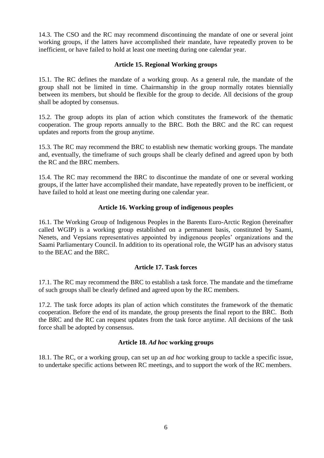14.3. The CSO and the RC may recommend discontinuing the mandate of one or several joint working groups, if the latters have accomplished their mandate, have repeatedly proven to be inefficient, or have failed to hold at least one meeting during one calendar year.

## **Article 15. Regional Working groups**

15.1. The RC defines the mandate of a working group. As a general rule, the mandate of the group shall not be limited in time. Chairmanship in the group normally rotates biennially between its members, but should be flexible for the group to decide. All decisions of the group shall be adopted by consensus.

15.2. The group adopts its plan of action which constitutes the framework of the thematic cooperation. The group reports annually to the BRC. Both the BRC and the RC can request updates and reports from the group anytime.

15.3. The RC may recommend the BRC to establish new thematic working groups. The mandate and, eventually, the timeframe of such groups shall be clearly defined and agreed upon by both the RC and the BRC members.

15.4. The RC may recommend the BRC to discontinue the mandate of one or several working groups, if the latter have accomplished their mandate, have repeatedly proven to be inefficient, or have failed to hold at least one meeting during one calendar year.

# **Article 16. Working group of indigenous peoples**

16.1. The Working Group of Indigenous Peoples in the Barents Euro-Arctic Region (hereinafter called WGIP) is a working group established on a permanent basis, constituted by Saami, Nenets, and Vepsians representatives appointed by indigenous peoples' organizations and the Saami Parliamentary Council. In addition to its operational role, the WGIP has an advisory status to the BEAC and the BRC.

# **Article 17. Task forces**

17.1. The RC may recommend the BRC to establish a task force. The mandate and the timeframe of such groups shall be clearly defined and agreed upon by the RC members.

17.2. The task force adopts its plan of action which constitutes the framework of the thematic cooperation. Before the end of its mandate, the group presents the final report to the BRC. Both the BRC and the RC can request updates from the task force anytime. All decisions of the task force shall be adopted by consensus.

# **Article 18.** *Ad hoc* **working groups**

18.1. The RC, or a working group, can set up an *ad hoc* working group to tackle a specific issue, to undertake specific actions between RC meetings, and to support the work of the RC members.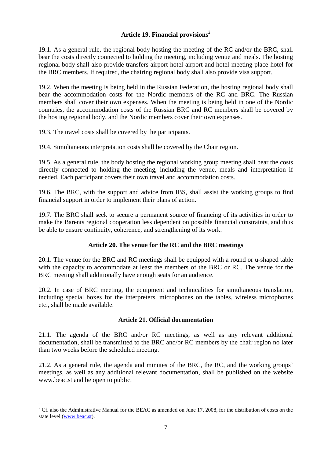# **Article 19. Financial provisions**<sup>2</sup>

19.1. As a general rule, the regional body hosting the meeting of the RC and/or the BRC, shall bear the costs directly connected to holding the meeting, including venue and meals. The hosting regional body shall also provide transfers airport-hotel-airport and hotel-meeting place-hotel for the BRC members. If required, the chairing regional body shall also provide visa support.

19.2. When the meeting is being held in the Russian Federation, the hosting regional body shall bear the accommodation costs for the Nordic members of the RC and BRC. The Russian members shall cover their own expenses. When the meeting is being held in one of the Nordic countries, the accommodation costs of the Russian BRC and RC members shall be covered by the hosting regional body, and the Nordic members cover their own expenses.

19.3. The travel costs shall be covered by the participants.

19.4. Simultaneous interpretation costs shall be covered by the Chair region.

19.5. As a general rule, the body hosting the regional working group meeting shall bear the costs directly connected to holding the meeting, including the venue, meals and interpretation if needed. Each participant covers their own travel and accommodation costs.

19.6. The BRC, with the support and advice from IBS, shall assist the working groups to find financial support in order to implement their plans of action.

19.7. The BRC shall seek to secure a permanent source of financing of its activities in order to make the Barents regional cooperation less dependent on possible financial constraints, and thus be able to ensure continuity, coherence, and strengthening of its work.

# **Article 20. The venue for the RC and the BRC meetings**

20.1. The venue for the BRC and RC meetings shall be equipped with a round or u-shaped table with the capacity to accommodate at least the members of the BRC or RC. The venue for the BRC meeting shall additionally have enough seats for an audience.

20.2. In case of BRC meeting, the equipment and technicalities for simultaneous translation, including special boxes for the interpreters, microphones on the tables, wireless microphones etc., shall be made available.

## **Article 21. Official documentation**

21.1. The agenda of the BRC and/or RC meetings, as well as any relevant additional documentation, shall be transmitted to the BRC and/or RC members by the chair region no later than two weeks before the scheduled meeting.

21.2. As a general rule, the agenda and minutes of the BRC, the RC, and the working groups' meetings, as well as any additional relevant documentation, shall be published on the website [www.beac.st](http://www.beac.st/) and be open to public.

 $\overline{a}$ 

 $2^{\circ}$  Cf. also the Administrative Manual for the BEAC as amended on June 17, 2008, for the distribution of costs on the state level [\(www.beac.st\)](http://www.beac.st/).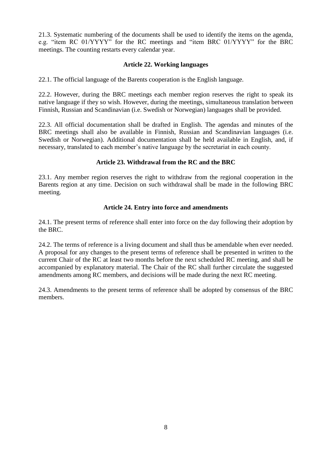21.3. Systematic numbering of the documents shall be used to identify the items on the agenda, e.g. "item RC 01/YYYY" for the RC meetings and "item BRC 01/YYYY" for the BRC meetings. The counting restarts every calendar year.

## **Article 22. Working languages**

22.1. The official language of the Barents cooperation is the English language.

22.2. However, during the BRC meetings each member region reserves the right to speak its native language if they so wish. However, during the meetings, simultaneous translation between Finnish, Russian and Scandinavian (i.e. Swedish or Norwegian) languages shall be provided.

22.3. All official documentation shall be drafted in English. The agendas and minutes of the BRC meetings shall also be available in Finnish, Russian and Scandinavian languages (i.e. Swedish or Norwegian). Additional documentation shall be held available in English, and, if necessary, translated to each member's native language by the secretariat in each county.

# **Article 23. Withdrawal from the RC and the BRC**

23.1. Any member region reserves the right to withdraw from the regional cooperation in the Barents region at any time. Decision on such withdrawal shall be made in the following BRC meeting.

# **Article 24. Entry into force and amendments**

24.1. The present terms of reference shall enter into force on the day following their adoption by the BRC.

24.2. The terms of reference is a living document and shall thus be amendable when ever needed. A proposal for any changes to the present terms of reference shall be presented in written to the current Chair of the RC at least two months before the next scheduled RC meeting, and shall be accompanied by explanatory material. The Chair of the RC shall further circulate the suggested amendments among RC members, and decisions will be made during the next RC meeting.

24.3. Amendments to the present terms of reference shall be adopted by consensus of the BRC members.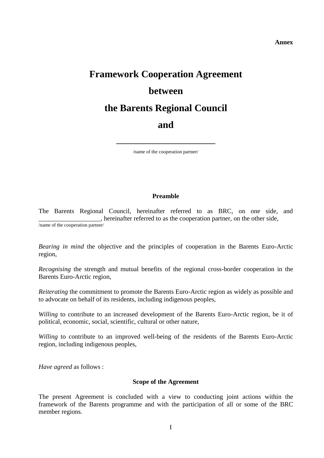#### **Annex**

# **Framework Cooperation Agreement between the Barents Regional Council and**

/name of the cooperation partner/

**\_\_\_\_\_\_\_\_\_\_\_\_\_\_\_\_\_\_\_\_\_\_\_\_\_\_**

## **Preamble**

The Barents Regional Council, hereinafter referred to as BRC, on one side, and \_\_\_\_\_\_\_\_\_\_\_\_\_\_\_\_\_\_\_, hereinafter referred to as the cooperation partner, on the other side, /name of the cooperation partner/

*Bearing in mind* the objective and the principles of cooperation in the Barents Euro-Arctic region,

*Recognising* the strength and mutual benefits of the regional cross-border cooperation in the Barents Euro-Arctic region,

*Reiterating* the commitment to promote the Barents Euro-Arctic region as widely as possible and to advocate on behalf of its residents, including indigenous peoples,

*Willing* to contribute to an increased development of the Barents Euro-Arctic region, be it of political, economic, social, scientific, cultural or other nature,

*Willing* to contribute to an improved well-being of the residents of the Barents Euro-Arctic region, including indigenous peoples,

*Have agreed* as follows :

### **Scope of the Agreement**

The present Agreement is concluded with a view to conducting joint actions within the framework of the Barents programme and with the participation of all or some of the BRC member regions.